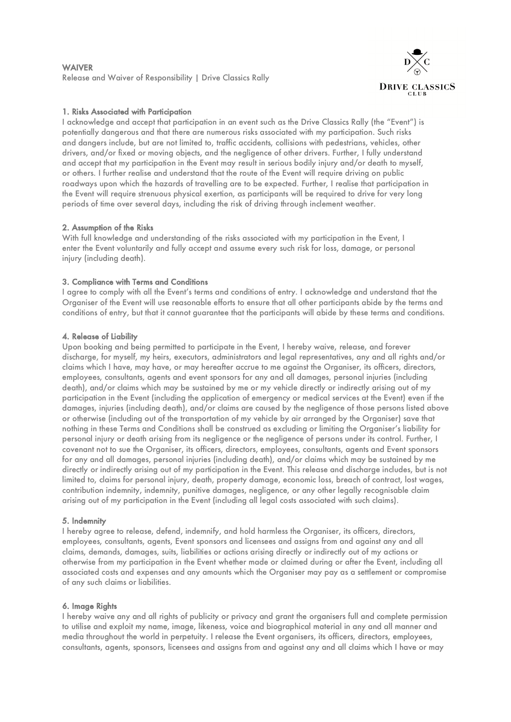# WAIVER Release and Waiver of Responsibility | Drive Classics Rally



# 1. Risks Associated with Participation

I acknowledge and accept that participation in an event such as the Drive Classics Rally (the "Event") is potentially dangerous and that there are numerous risks associated with my participation. Such risks and dangers include, but are not limited to, traffic accidents, collisions with pedestrians, vehicles, other drivers, and/or fixed or moving objects, and the negligence of other drivers. Further, I fully understand and accept that my participation in the Event may result in serious bodily injury and/or death to myself, or others. I further realise and understand that the route of the Event will require driving on public roadways upon which the hazards of travelling are to be expected. Further, I realise that participation in the Event will require strenuous physical exertion, as participants will be required to drive for very long periods of time over several days, including the risk of driving through inclement weather.

### 2. Assumption of the Risks

With full knowledge and understanding of the risks associated with my participation in the Event, I enter the Event voluntarily and fully accept and assume every such risk for loss, damage, or personal injury (including death).

### 3. Compliance with Terms and Conditions

I agree to comply with all the Event's terms and conditions of entry. I acknowledge and understand that the Organiser of the Event will use reasonable efforts to ensure that all other participants abide by the terms and conditions of entry, but that it cannot guarantee that the participants will abide by these terms and conditions.

### 4. Release of Liability

Upon booking and being permitted to participate in the Event, I hereby waive, release, and forever discharge, for myself, my heirs, executors, administrators and legal representatives, any and all rights and/or claims which I have, may have, or may hereafter accrue to me against the Organiser, its officers, directors, employees, consultants, agents and event sponsors for any and all damages, personal injuries (including death), and/or claims which may be sustained by me or my vehicle directly or indirectly arising out of my participation in the Event (including the application of emergency or medical services at the Event) even if the damages, injuries (including death), and/or claims are caused by the negligence of those persons listed above or otherwise (including out of the transportation of my vehicle by air arranged by the Organiser) save that nothing in these Terms and Conditions shall be construed as excluding or limiting the Organiser's liability for personal injury or death arising from its negligence or the negligence of persons under its control. Further, I covenant not to sue the Organiser, its officers, directors, employees, consultants, agents and Event sponsors for any and all damages, personal injuries (including death), and/or claims which may be sustained by me directly or indirectly arising out of my participation in the Event. This release and discharge includes, but is not limited to, claims for personal injury, death, property damage, economic loss, breach of contract, lost wages, contribution indemnity, indemnity, punitive damages, negligence, or any other legally recognisable claim arising out of my participation in the Event (including all legal costs associated with such claims).

#### 5. Indemnity

I hereby agree to release, defend, indemnify, and hold harmless the Organiser, its officers, directors, employees, consultants, agents, Event sponsors and licensees and assigns from and against any and all claims, demands, damages, suits, liabilities or actions arising directly or indirectly out of my actions or otherwise from my participation in the Event whether made or claimed during or after the Event, including all associated costs and expenses and any amounts which the Organiser may pay as a settlement or compromise of any such claims or liabilities.

#### 6. Image Rights

I hereby waive any and all rights of publicity or privacy and grant the organisers full and complete permission to utilise and exploit my name, image, likeness, voice and biographical material in any and all manner and media throughout the world in perpetuity. I release the Event organisers, its officers, directors, employees, consultants, agents, sponsors, licensees and assigns from and against any and all claims which I have or may